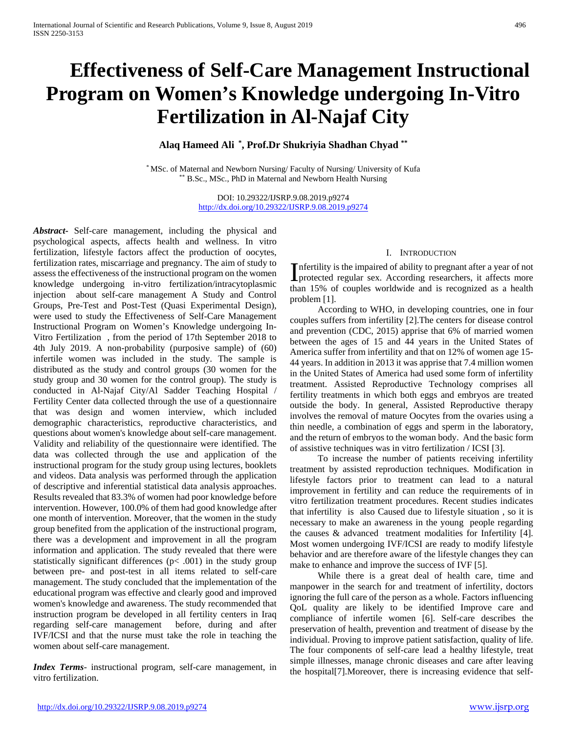# **Effectiveness of Self-Care Management Instructional Program on Women's Knowledge undergoing In-Vitro Fertilization in Al-Najaf City**

# **Alaq Hameed Ali \* , Prof.Dr Shukriyia Shadhan Chyad \*\***

\* MSc. of Maternal and Newborn Nursing/ Faculty of Nursing/ University of Kufa \*\* B.Sc., MSc., PhD in Maternal and Newborn Health Nursing

> DOI: 10.29322/IJSRP.9.08.2019.p9274 <http://dx.doi.org/10.29322/IJSRP.9.08.2019.p9274>

*Abstract***-** Self-care management, including the physical and psychological aspects, affects health and wellness. In vitro fertilization, lifestyle factors affect the production of oocytes, fertilization rates, miscarriage and pregnancy. The aim of study to assess the effectiveness of the instructional program on the women knowledge undergoing in-vitro fertilization/intracytoplasmic injection about self-care management A Study and Control Groups, Pre-Test and Post-Test (Quasi Experimental Design), were used to study the Effectiveness of Self-Care Management Instructional Program on Women's Knowledge undergoing In-Vitro Fertilization , from the period of 17th September 2018 to 4th July 2019. A non-probability (purposive sample) of (60) infertile women was included in the study. The sample is distributed as the study and control groups (30 women for the study group and 30 women for the control group). The study is conducted in Al-Najaf City/Al Sadder Teaching Hospital / Fertility Center data collected through the use of a questionnaire that was design and women interview, which included demographic characteristics, reproductive characteristics, and questions about women's knowledge about self-care management. Validity and reliability of the questionnaire were identified. The data was collected through the use and application of the instructional program for the study group using lectures, booklets and videos. Data analysis was performed through the application of descriptive and inferential statistical data analysis approaches. Results revealed that 83.3% of women had poor knowledge before intervention. However, 100.0% of them had good knowledge after one month of intervention. Moreover, that the women in the study group benefited from the application of the instructional program, there was a development and improvement in all the program information and application. The study revealed that there were statistically significant differences ( $p$ < .001) in the study group between pre- and post-test in all items related to self-care management. The study concluded that the implementation of the educational program was effective and clearly good and improved women's knowledge and awareness. The study recommended that instruction program be developed in all fertility centers in Iraq regarding self-care management before, during and after IVF/ICSI and that the nurse must take the role in teaching the women about self-care management.

*Index Terms*- instructional program, self-care management, in vitro fertilization.

## I. INTRODUCTION

nfertility is the impaired of ability to pregnant after a year of not Infertility is the impaired of ability to pregnant after a year of not protected regular sex. According researchers, it affects more than 15% of couples worldwide and is recognized as a health problem [1].

 According to WHO, in developing countries, one in four couples suffers from infertility [2].The centers for disease control and prevention (CDC, 2015) apprise that 6% of married women between the ages of 15 and 44 years in the United States of America suffer from infertility and that on 12% of women age 15- 44 years. In addition in 2013 it was apprise that 7.4 million women in the United States of America had used some form of infertility treatment. Assisted Reproductive Technology comprises all fertility treatments in which both eggs and embryos are treated outside the body. In general, Assisted Reproductive therapy involves the removal of mature Oocytes from the ovaries using a thin needle, a combination of eggs and sperm in the laboratory, and the return of embryos to the woman body. And the basic form of assistive techniques was in vitro fertilization / ICSI [3].

 To increase the number of patients receiving infertility treatment by assisted reproduction techniques. Modification in lifestyle factors prior to treatment can lead to a natural improvement in fertility and can reduce the requirements of in vitro fertilization treatment procedures. Recent studies indicates that infertility is also Caused due to lifestyle situation , so it is necessary to make an awareness in the young people regarding the causes & advanced treatment modalities for Infertility [4]. Most women undergoing IVF/ICSI are ready to modify lifestyle behavior and are therefore aware of the lifestyle changes they can make to enhance and improve the success of IVF [5].

 While there is a great deal of health care, time and manpower in the search for and treatment of infertility, doctors ignoring the full care of the person as a whole. Factors influencing QoL quality are likely to be identified Improve care and compliance of infertile women [6]. Self-care describes the preservation of health, prevention and treatment of disease by the individual. Proving to improve patient satisfaction, quality of life. The four components of self-care lead a healthy lifestyle, treat simple illnesses, manage chronic diseases and care after leaving the hospital[7].Moreover, there is increasing evidence that self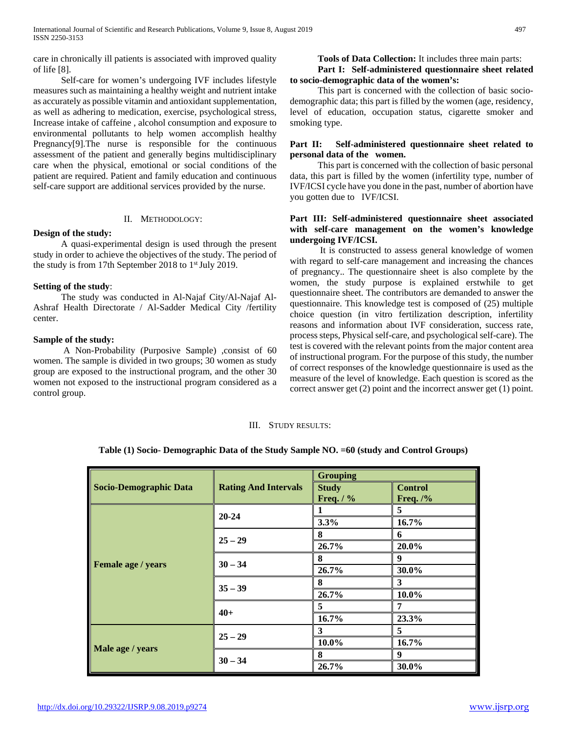care in chronically ill patients is associated with improved quality of life [8].

 Self-care for women's undergoing IVF includes lifestyle measures such as maintaining a healthy weight and nutrient intake as accurately as possible vitamin and antioxidant supplementation, as well as adhering to medication, exercise, psychological stress, Increase intake of caffeine , alcohol consumption and exposure to environmental pollutants to help women accomplish healthy Pregnancy[9].The nurse is responsible for the continuous assessment of the patient and generally begins multidisciplinary care when the physical, emotional or social conditions of the patient are required. Patient and family education and continuous self-care support are additional services provided by the nurse.

## II. METHODOLOGY:

# **Design of the study:**

 A quasi-experimental design is used through the present study in order to achieve the objectives of the study. The period of the study is from 17th September 2018 to  $1<sup>st</sup>$  July 2019.

## **Setting of the study**:

 The study was conducted in Al-Najaf City/Al-Najaf Al-Ashraf Health Directorate / Al-Sadder Medical City /fertility center.

## **Sample of the study:**

 A Non-Probability (Purposive Sample) ,consist of 60 women. The sample is divided in two groups; 30 women as study group are exposed to the instructional program, and the other 30 women not exposed to the instructional program considered as a control group.

# **Tools of Data Collection:** It includes three main parts: **Part I: Self-administered questionnaire sheet related to socio-demographic data of the women's:**

 This part is concerned with the collection of basic sociodemographic data; this part is filled by the women (age, residency, level of education, occupation status, cigarette smoker and smoking type.

## **Part II: Self-administered questionnaire sheet related to personal data of the women.**

 This part is concerned with the collection of basic personal data, this part is filled by the women (infertility type, number of IVF/ICSI cycle have you done in the past, number of abortion have you gotten due to IVF/ICSI.

# **Part III: Self-administered questionnaire sheet associated with self-care management on the women's knowledge undergoing IVF/ICSI.**

 It is constructed to assess general knowledge of women with regard to self-care management and increasing the chances of pregnancy.. The questionnaire sheet is also complete by the women, the study purpose is explained erstwhile to get questionnaire sheet. The contributors are demanded to answer the questionnaire. This knowledge test is composed of (25) multiple choice question (in vitro fertilization description, infertility reasons and information about IVF consideration, success rate, process steps, Physical self-care, and psychological self-care). The test is covered with the relevant points from the major content area of instructional program. For the purpose of this study, the number of correct responses of the knowledge questionnaire is used as the measure of the level of knowledge. Each question is scored as the correct answer get (2) point and the incorrect answer get (1) point.

#### III. STUDY RESULTS:

## **Table (1) Socio- Demographic Data of the Study Sample NO. =60 (study and Control Groups)**

|                               |                             | <b>Grouping</b> |                |
|-------------------------------|-----------------------------|-----------------|----------------|
| <b>Socio-Demographic Data</b> | <b>Rating And Intervals</b> | <b>Study</b>    | <b>Control</b> |
|                               |                             | Freq. $/$ %     | Freq. $/$ %    |
|                               | $20 - 24$                   |                 | 5              |
|                               |                             | 3.3%            | 16.7%          |
|                               | $25 - 29$                   | 8               | 6              |
|                               |                             | 26.7%           | 20.0%          |
|                               | $30 - 34$                   | 8               | 9              |
| Female age / years            |                             | 26.7%           | 30.0%          |
|                               |                             | 8               | 3              |
|                               | $35 - 39$                   | 26.7%           | 10.0%          |
|                               |                             | 5               | 7              |
|                               | $40+$                       | 16.7%           | 23.3%          |
|                               | $25 - 29$                   | 3               | 5              |
|                               |                             | $10.0\%$        | 16.7%          |
| Male age / years              |                             | 8               | 9              |
|                               | $30 - 34$                   | 26.7%           | 30.0%          |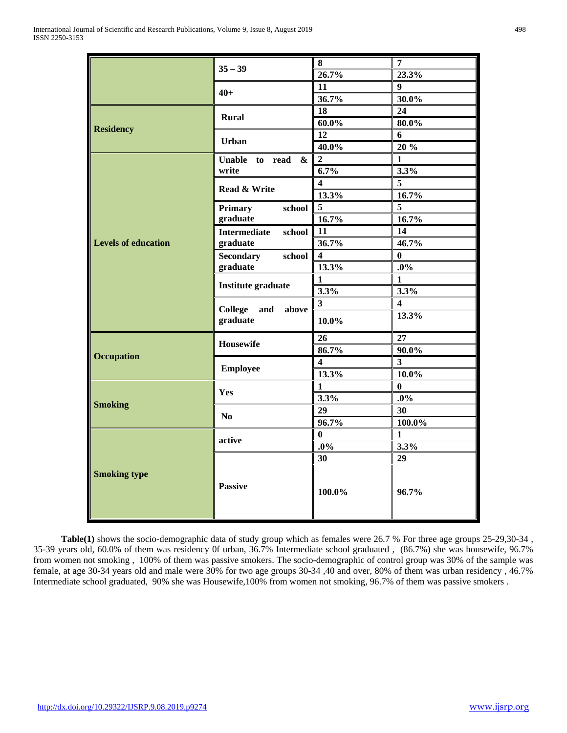|                            |                                | 8                       | $\overline{7}$ |
|----------------------------|--------------------------------|-------------------------|----------------|
|                            | $35 - 39$                      | 26.7%                   | 23.3%          |
|                            |                                | 11                      | 9              |
|                            | $40+$                          | 36.7%                   | 30.0%          |
|                            |                                | 18                      | 24             |
|                            | <b>Rural</b>                   | $60.0\%$                | 80.0%          |
| <b>Residency</b>           |                                | 12                      | 6              |
|                            | <b>Urban</b>                   | 40.0%                   | 20 %           |
|                            | Unable to read $\&$            | $\overline{2}$          | $\mathbf{1}$   |
|                            | write                          | 6.7%                    | 3.3%           |
|                            |                                | $\overline{\mathbf{4}}$ | 5              |
|                            | Read & Write                   | 13.3%                   | 16.7%          |
|                            | <b>Primary</b><br>school       | $\overline{5}$          | 5              |
|                            | graduate                       | 16.7%                   | 16.7%          |
|                            | <b>Intermediate</b><br>school  | 11                      | 14             |
| <b>Levels of education</b> | graduate                       | 36.7%                   | 46.7%          |
|                            | school                         | $\overline{\mathbf{4}}$ | $\bf{0}$       |
|                            | <b>Secondary</b><br>graduate   | 13.3%                   | $.0\%$         |
|                            |                                |                         |                |
|                            | <b>Institute graduate</b>      | $\mathbf{1}$<br>3.3%    | 1              |
|                            |                                |                         | 3.3%           |
|                            | <b>College</b><br>and<br>above | $\mathbf{3}$            | 4<br>13.3%     |
|                            | graduate                       | 10.0%                   |                |
|                            | <b>Housewife</b>               | 26                      | 27             |
|                            |                                | 86.7%                   | 90.0%          |
| <b>Occupation</b>          |                                | $\overline{\mathbf{4}}$ | 3 <sup>1</sup> |
|                            | <b>Employee</b>                | 13.3%                   | $10.0\%$       |
|                            |                                | $\mathbf{1}$            | 0              |
|                            | Yes                            | 3.3%                    | $.0\%$         |
| <b>Smoking</b>             | No                             | 29                      | 30             |
|                            |                                | $\overline{96.7\%}$     | 100.0%         |
|                            |                                | $\bf{0}$                | $\mathbf{1}$   |
|                            | active                         | $.0\%$                  | 3.3%           |
| <b>Smoking type</b>        |                                | 30                      | 29             |
|                            | <b>Passive</b>                 | 100.0%                  | 96.7%          |

 **Table(1)** shows the socio-demographic data of study group which as females were 26.7 % For three age groups 25-29,30-34 , 35-39 years old, 60.0% of them was residency 0f urban, 36.7% Intermediate school graduated , (86.7%) she was housewife, 96.7% from women not smoking , 100% of them was passive smokers. The socio-demographic of control group was 30% of the sample was female, at age 30-34 years old and male were 30% for two age groups 30-34 ,40 and over, 80% of them was urban residency , 46.7% Intermediate school graduated, 90% she was Housewife,100% from women not smoking, 96.7% of them was passive smokers .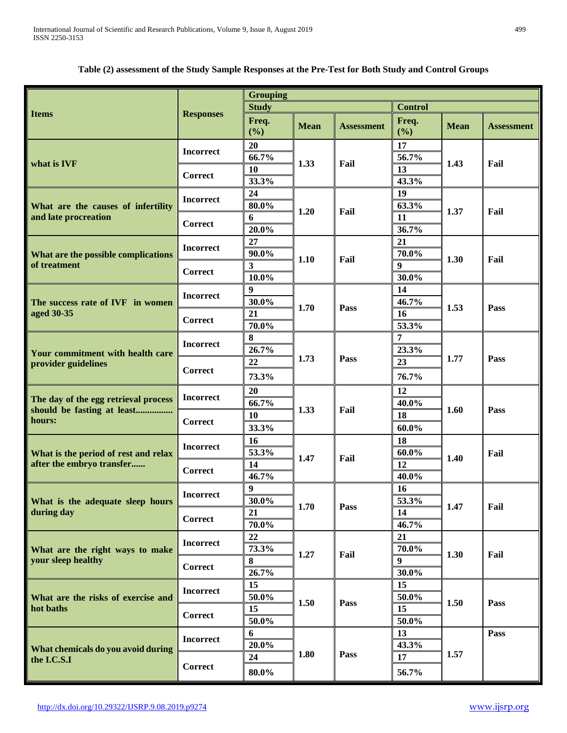# **Table (2) assessment of the Study Sample Responses at the Pre-Test for Both Study and Control Groups**

|                                                                    |                  | <b>Grouping</b>  |             |                   |                  |             |                   |  |
|--------------------------------------------------------------------|------------------|------------------|-------------|-------------------|------------------|-------------|-------------------|--|
|                                                                    |                  | <b>Study</b>     |             |                   | <b>Control</b>   |             |                   |  |
| <b>Items</b>                                                       | <b>Responses</b> | Freq.<br>(%)     | <b>Mean</b> | <b>Assessment</b> | Freq.<br>(%)     | <b>Mean</b> | <b>Assessment</b> |  |
|                                                                    | <b>Incorrect</b> | 20               |             |                   | 17               |             |                   |  |
| what is IVF                                                        |                  | 66.7%            | 1.33        | Fail              | 56.7%            | 1.43        | Fail              |  |
|                                                                    | <b>Correct</b>   | 10               |             |                   | 13               |             |                   |  |
|                                                                    |                  | 33.3%            |             |                   | 43.3%            |             |                   |  |
|                                                                    | <b>Incorrect</b> | 24               |             |                   | 19               |             |                   |  |
| What are the causes of infertility                                 |                  | $80.0\%$         | 1.20        | Fail              | 63.3%            | 1.37        | Fail              |  |
| and late procreation                                               | <b>Correct</b>   | 6                |             |                   | 11               |             |                   |  |
|                                                                    |                  | 20.0%            |             |                   | 36.7%            |             |                   |  |
|                                                                    | <b>Incorrect</b> | 27               |             |                   | 21               |             |                   |  |
| What are the possible complications                                |                  | 90.0%            | 1.10        | Fail              | 70.0%            | 1.30        | Fail              |  |
| of treatment                                                       | <b>Correct</b>   | $\mathbf{3}$     |             |                   | $\boldsymbol{9}$ |             |                   |  |
|                                                                    |                  | $10.0\%$         |             |                   | 30.0%            |             |                   |  |
|                                                                    | <b>Incorrect</b> | 9                |             |                   | 14               |             |                   |  |
| The success rate of IVF in women                                   |                  | 30.0%            | 1.70        | Pass              | 46.7%            | 1.53        | Pass              |  |
| aged 30-35                                                         | <b>Correct</b>   | 21               |             |                   | 16               |             |                   |  |
|                                                                    |                  | $70.0\%$         |             |                   | 53.3%            |             |                   |  |
|                                                                    | <b>Incorrect</b> | 8                |             |                   | 7                |             |                   |  |
| Your commitment with health care                                   |                  | 26.7%            | 1.73        | Pass              | 23.3%            | 1.77        | Pass              |  |
| provider guidelines                                                | <b>Correct</b>   | 22               |             |                   | 23               |             |                   |  |
|                                                                    |                  | 73.3%            |             |                   | 76.7%            |             |                   |  |
|                                                                    | <b>Incorrect</b> | 20               | 1.33        |                   | 12               |             |                   |  |
| The day of the egg retrieval process<br>should be fasting at least |                  | 66.7%            |             | Fail              | 40.0%            | 1.60        | Pass              |  |
| hours:                                                             |                  | 10               |             |                   | 18               |             |                   |  |
|                                                                    | Correct          | 33.3%            |             |                   | $60.0\%$         |             |                   |  |
|                                                                    | <b>Incorrect</b> | 16               |             |                   | 18               |             |                   |  |
| What is the period of rest and relax                               |                  | 53.3%            | 1.47        |                   | 60.0%            | 1.40        | Fail              |  |
| after the embryo transfer                                          | <b>Correct</b>   | 14               |             | Fail              | 12               |             |                   |  |
|                                                                    |                  | 46.7%            |             |                   | 40.0%            |             |                   |  |
|                                                                    | <b>Incorrect</b> | $\boldsymbol{9}$ |             |                   | 16               |             |                   |  |
| What is the adequate sleep hours                                   |                  | $30.0\%$         | 1.70        | Pass              | 53.3%            | 1.47        | Fail              |  |
| during day                                                         | <b>Correct</b>   | 21               |             |                   | 14               |             |                   |  |
|                                                                    |                  | 70.0%            |             |                   | 46.7%            |             |                   |  |
|                                                                    | <b>Incorrect</b> | 22               |             |                   | 21               |             |                   |  |
| What are the right ways to make                                    |                  | 73.3%            | 1.27        | Fail              | 70.0%            | 1.30        | Fail              |  |
| your sleep healthy                                                 | Correct          | 8                |             |                   | 9 <sup>°</sup>   |             |                   |  |
|                                                                    |                  | 26.7%            |             |                   | 30.0%            |             |                   |  |
|                                                                    | <b>Incorrect</b> | 15               |             |                   | 15               |             |                   |  |
| What are the risks of exercise and                                 |                  | 50.0%            | 1.50        | Pass              | 50.0%            | 1.50        | Pass              |  |
| hot baths                                                          | <b>Correct</b>   | 15               |             |                   | 15               |             |                   |  |
|                                                                    |                  | 50.0%            |             |                   | 50.0%            |             |                   |  |
|                                                                    | <b>Incorrect</b> | 6                |             |                   | 13               |             | Pass              |  |
| What chemicals do you avoid during                                 |                  | 20.0%            | 1.80        | Pass              | 43.3%            | 1.57        |                   |  |
| the I.C.S.I                                                        | Correct          | 24               |             |                   | 17               |             |                   |  |
|                                                                    |                  | 80.0%            |             |                   | 56.7%            |             |                   |  |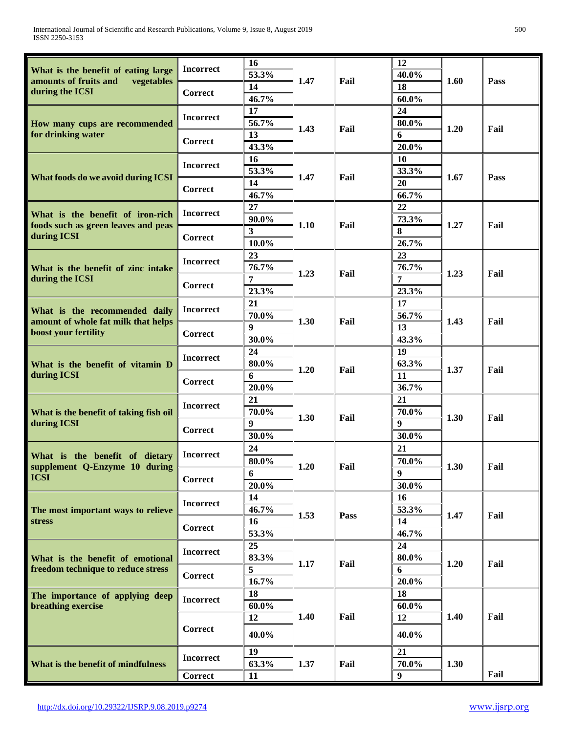| What is the benefit of eating large                         | <b>Incorrect</b> | 16<br>53.3%               |      |      | 12<br>40.0% |      |      |
|-------------------------------------------------------------|------------------|---------------------------|------|------|-------------|------|------|
| amounts of fruits and<br>vegetables                         |                  | 14                        | 1.47 | Fail | 18          | 1.60 | Pass |
| during the ICSI                                             | Correct          | 46.7%                     |      |      | $60.0\%$    |      |      |
|                                                             | <b>Incorrect</b> | 17                        |      |      | 24          |      |      |
| How many cups are recommended                               |                  | 56.7%                     | 1.43 | Fail | 80.0%       | 1.20 | Fail |
| for drinking water                                          | <b>Correct</b>   | 13                        |      |      | 6           |      |      |
|                                                             |                  | 43.3%                     |      |      | 20.0%       |      |      |
|                                                             | <b>Incorrect</b> | 16                        |      |      | 10          |      |      |
| What foods do we avoid during ICSI                          |                  | 53.3%                     | 1.47 | Fail | 33.3%       | 1.67 | Pass |
|                                                             | <b>Correct</b>   | 14                        |      |      | 20          |      |      |
|                                                             |                  | 46.7%<br>27               |      |      | 66.7%<br>22 |      |      |
| What is the benefit of iron-rich                            | <b>Incorrect</b> | 90.0%                     |      |      | 73.3%       |      |      |
| foods such as green leaves and peas                         |                  | 3                         | 1.10 | Fail | 8           | 1.27 | Fail |
| during ICSI                                                 | Correct          | 10.0%                     |      |      | 26.7%       |      |      |
|                                                             |                  | 23                        |      |      | 23          |      |      |
| What is the benefit of zinc intake                          | <b>Incorrect</b> | 76.7%                     |      |      | 76.7%       |      |      |
| during the ICSI                                             |                  | 7                         | 1.23 | Fail | 7           | 1.23 | Fail |
|                                                             | Correct          | 23.3%                     |      |      | 23.3%       |      |      |
|                                                             |                  | 21                        |      |      | 17          |      |      |
| What is the recommended daily                               | <b>Incorrect</b> | 70.0%                     |      |      | 56.7%       |      |      |
| amount of whole fat milk that helps<br>boost your fertility | Correct          | $\boldsymbol{9}$          | 1.30 | Fail | 13          | 1.43 | Fail |
|                                                             |                  | 30.0%                     |      |      | 43.3%       |      |      |
| What is the benefit of vitamin D<br>during ICSI             | <b>Incorrect</b> | 24                        |      |      | 19          |      |      |
|                                                             |                  | $80.0\%$                  | 1.20 | Fail | 63.3%       | 1.37 | Fail |
|                                                             | <b>Correct</b>   | 6                         |      |      | 11          |      |      |
|                                                             |                  | 20.0%                     |      |      | 36.7%       |      |      |
|                                                             | <b>Incorrect</b> | 21                        |      |      | 21          |      |      |
| What is the benefit of taking fish oil<br>during ICSI       |                  | 70.0%<br>$\boldsymbol{9}$ | 1.30 | Fail | 70.0%<br>9  | 1.30 | Fail |
|                                                             | Correct          | 30.0%                     |      |      | 30.0%       |      |      |
|                                                             |                  | 24                        |      |      | 21          |      |      |
| What is the benefit of dietary                              | <b>Incorrect</b> | $80.0\%$                  |      |      | 70.0%       |      |      |
| supplement Q-Enzyme 10 during                               |                  | 6                         | 1.20 | Fail | 9           | 1.30 | Fail |
| <b>ICSI</b>                                                 | Correct          | 20.0%                     |      |      | 30.0%       |      |      |
|                                                             |                  | 14                        |      |      | 16          |      |      |
| The most important ways to relieve                          | <b>Incorrect</b> | 46.7%                     |      |      | 53.3%       |      |      |
| stress                                                      |                  | 16                        | 1.53 | Pass | 14          | 1.47 | Fail |
|                                                             | <b>Correct</b>   | 53.3%                     |      |      | 46.7%       |      |      |
|                                                             |                  | 25                        |      |      | 24          |      |      |
| What is the benefit of emotional                            | <b>Incorrect</b> | 83.3%                     | 1.17 | Fail | $80.0\%$    | 1.20 | Fail |
| freedom technique to reduce stress                          | Correct          | 5                         |      |      | 6           |      |      |
|                                                             |                  | 16.7%                     |      |      | 20.0%       |      |      |
| The importance of applying deep                             | <b>Incorrect</b> | 18                        |      |      | 18          |      |      |
| breathing exercise                                          |                  | 60.0%                     |      |      | $60.0\%$    |      |      |
|                                                             | <b>Correct</b>   | 12                        | 1.40 | Fail | 12          | 1.40 | Fail |
|                                                             |                  | 40.0%                     |      |      | 40.0%       |      |      |
|                                                             | <b>Incorrect</b> | 19                        |      |      | 21          |      |      |
| What is the benefit of mindfulness                          |                  | 63.3%                     | 1.37 | Fail | 70.0%       | 1.30 |      |
|                                                             | Correct          | 11                        |      |      | 9           |      | Fail |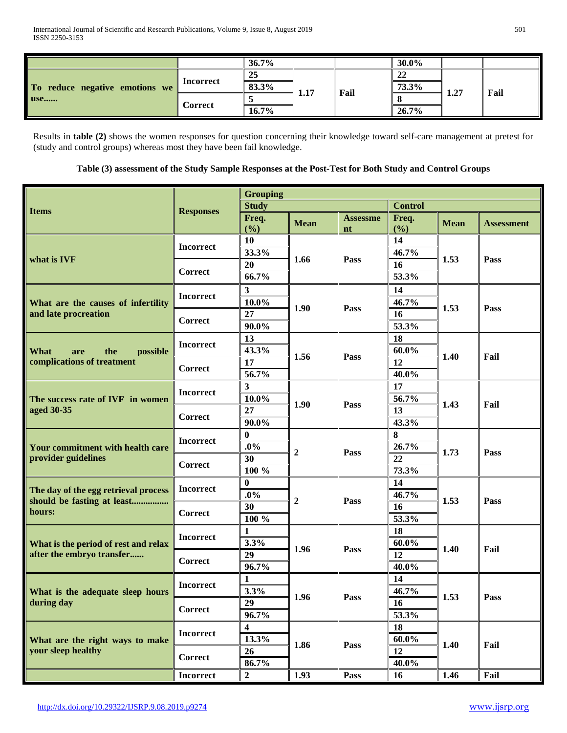|                                       |           | 36.7%    |      |      | 30.0% |      |      |
|---------------------------------------|-----------|----------|------|------|-------|------|------|
| To reduce negative emotions we<br>use |           | 25       |      |      | 22    |      |      |
|                                       | Incorrect | 83.3%    | 1.17 | Fail | 73.3% | 1.27 | Fail |
|                                       |           |          |      |      |       |      |      |
|                                       | Correct   | $16.7\%$ |      |      | 26.7% |      |      |

Results in **table (2)** shows the women responses for question concerning their knowledge toward self-care management at pretest for (study and control groups) whereas most they have been fail knowledge.

# **Table (3) assessment of the Study Sample Responses at the Post-Test for Both Study and Control Groups**

|                                                       |                  | <b>Grouping</b> |                  |                       |                |             |            |
|-------------------------------------------------------|------------------|-----------------|------------------|-----------------------|----------------|-------------|------------|
| <b>Items</b>                                          | <b>Responses</b> | <b>Study</b>    |                  |                       | <b>Control</b> |             |            |
|                                                       |                  | Freq.<br>(%)    | <b>Mean</b>      | <b>Assessme</b><br>nt | Freq.<br>(%)   | <b>Mean</b> | Assessment |
|                                                       |                  | 10              |                  |                       | 14             |             |            |
|                                                       | <b>Incorrect</b> | 33.3%           |                  |                       | 46.7%          |             |            |
| what is IVF                                           |                  | 20              | 1.66             | Pass                  | 16             | 1.53        | Pass       |
|                                                       | <b>Correct</b>   | 66.7%           |                  |                       | 53.3%          |             |            |
|                                                       | <b>Incorrect</b> | 3               |                  |                       | 14             |             |            |
| What are the causes of infertility                    |                  | $10.0\%$        | 1.90             | Pass                  | 46.7%          | 1.53        | Pass       |
| and late procreation                                  | <b>Correct</b>   | 27              |                  |                       | 16             |             |            |
|                                                       |                  | 90.0%           |                  |                       | 53.3%          |             |            |
|                                                       | <b>Incorrect</b> | 13              |                  |                       | 18             |             |            |
| What<br>the<br>possible<br>are                        |                  | 43.3%           | 1.56             | Pass                  | $60.0\%$       | 1.40        | Fail       |
| complications of treatment                            | <b>Correct</b>   | 17              |                  |                       | 12             |             |            |
|                                                       |                  | 56.7%           |                  |                       | 40.0%          |             |            |
|                                                       | <b>Incorrect</b> | 3               |                  |                       | 17             |             |            |
| The success rate of IVF in women                      |                  | $10.0\%$        | 1.90             | Pass                  | 56.7%          | 1.43        | Fail       |
| aged 30-35                                            | <b>Correct</b>   | 27              |                  |                       | 13             |             |            |
|                                                       |                  | 90.0%<br>0      |                  |                       | 43.3%<br>8     |             |            |
| Your commitment with health care                      | <b>Incorrect</b> | $.0\%$          | $\overline{2}$   | Pass                  | 26.7%          | 1.73        |            |
| provider guidelines                                   |                  | 30              |                  |                       | 22             |             | Pass       |
|                                                       | <b>Correct</b>   | 100 %           |                  |                       | 73.3%          |             |            |
|                                                       |                  | 0               |                  |                       | 14             |             |            |
| The day of the egg retrieval process                  | <b>Incorrect</b> | .0%             |                  |                       | 46.7%          |             |            |
| should be fasting at least                            |                  | 30              | $\boldsymbol{2}$ | Pass                  | <b>16</b>      | 1.53        | Pass       |
| hours:                                                | <b>Correct</b>   | 100 %           |                  |                       | 53.3%          |             |            |
|                                                       | <b>Incorrect</b> | 1               |                  |                       | 18             |             |            |
| What is the period of rest and relax                  |                  | 3.3%            | 1.96             | Pass                  | $60.0\%$       | 1.40        | Fail       |
| after the embryo transfer                             | <b>Correct</b>   | 29              |                  |                       | 12             |             |            |
|                                                       |                  | 96.7%           |                  |                       | 40.0%          |             |            |
|                                                       | <b>Incorrect</b> | 1               |                  |                       | 14             |             |            |
| What is the adequate sleep hours                      |                  | 3.3%            | 1.96             | Pass                  | 46.7%          | 1.53        | Pass       |
| during day                                            | <b>Correct</b>   | 29              |                  |                       | 16             |             |            |
|                                                       |                  | 96.7%           |                  |                       | 53.3%          |             |            |
|                                                       | <b>Incorrect</b> | 4               |                  |                       | 18             |             |            |
| What are the right ways to make<br>your sleep healthy |                  | 13.3%           | 1.86             | Pass                  | $60.0\%$<br>12 | 1.40        | Fail       |
|                                                       | <b>Correct</b>   | 26<br>86.7%     |                  |                       | 40.0%          |             |            |
|                                                       | <b>Incorrect</b> | $\overline{2}$  | 1.93             | Pass                  | 16             | 1.46        | Fail       |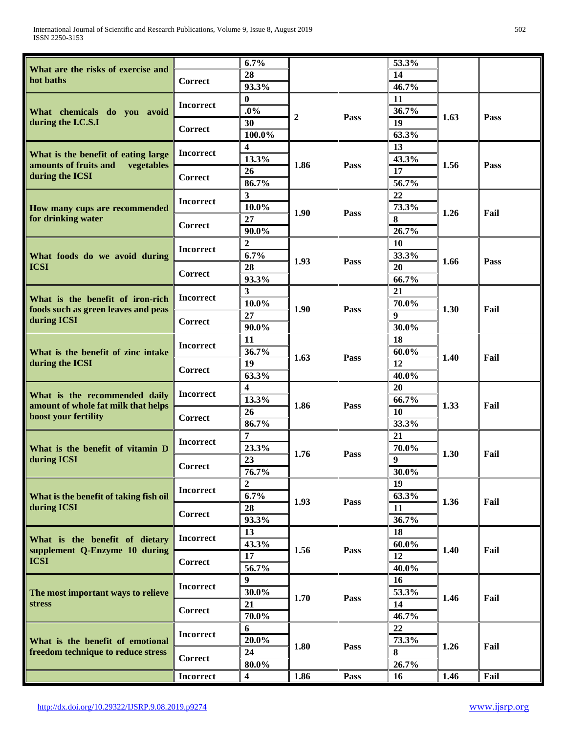| What are the risks of exercise and                                         |                  | 6.7%                    |                  |             | 53.3%            |      |      |
|----------------------------------------------------------------------------|------------------|-------------------------|------------------|-------------|------------------|------|------|
| hot baths                                                                  | <b>Correct</b>   | 28                      |                  |             | 14               |      |      |
|                                                                            |                  | 93.3%                   |                  |             | 46.7%            |      |      |
|                                                                            | <b>Incorrect</b> | 0                       |                  |             | 11               |      |      |
| What chemicals do you avoid                                                |                  | $.0\%$                  | $\boldsymbol{2}$ | Pass        | 36.7%            | 1.63 | Pass |
| during the I.C.S.I                                                         | <b>Correct</b>   | 30                      |                  |             | 19               |      |      |
|                                                                            |                  | 100.0%                  |                  |             | 63.3%            |      |      |
|                                                                            | <b>Incorrect</b> | 4                       |                  |             | 13               |      |      |
| What is the benefit of eating large<br>amounts of fruits and<br>vegetables |                  | 13.3%                   | 1.86             | Pass        | 43.3%            | 1.56 | Pass |
| during the ICSI                                                            | <b>Correct</b>   | 26                      |                  |             | 17               |      |      |
|                                                                            |                  | 86.7%                   |                  |             | 56.7%            |      |      |
|                                                                            | <b>Incorrect</b> | 3                       |                  |             | 22               |      |      |
| How many cups are recommended                                              |                  | $10.0\%$                | 1.90             | Pass        | 73.3%            | 1.26 | Fail |
| for drinking water                                                         | Correct          | 27                      |                  |             | 8                |      |      |
|                                                                            |                  | 90.0%                   |                  |             | 26.7%            |      |      |
|                                                                            | <b>Incorrect</b> | 2                       |                  |             | <b>10</b>        |      |      |
| What foods do we avoid during                                              |                  | 6.7%                    | 1.93             | Pass        | 33.3%            | 1.66 | Pass |
| <b>ICSI</b>                                                                | Correct          | 28                      |                  |             | 20               |      |      |
|                                                                            |                  | 93.3%                   |                  |             | 66.7%            |      |      |
| What is the benefit of iron-rich                                           | <b>Incorrect</b> | 3                       |                  |             | 21               |      |      |
| foods such as green leaves and peas                                        |                  | $10.0\%$                | 1.90             | Pass        | 70.0%            | 1.30 | Fail |
| during ICSI                                                                | Correct          | 27                      |                  |             | 9                |      |      |
|                                                                            |                  | $90.0\%$                |                  |             | 30.0%            |      |      |
|                                                                            | <b>Incorrect</b> | 11                      | 1.63             |             | 18               |      |      |
| What is the benefit of zinc intake                                         |                  | 36.7%                   |                  | Pass        | 60.0%            | 1.40 | Fail |
| during the ICSI                                                            | Correct          | 19                      |                  |             | 12               |      |      |
|                                                                            |                  | 63.3%                   |                  |             | 40.0%            |      |      |
| What is the recommended daily                                              | <b>Incorrect</b> | 4                       |                  |             | 20               |      |      |
| amount of whole fat milk that helps                                        |                  | 13.3%                   | 1.86             | Pass        | 66.7%            | 1.33 | Fail |
| boost your fertility                                                       | <b>Correct</b>   | 26                      |                  |             | 10               |      |      |
|                                                                            |                  | 86.7%                   |                  |             | 33.3%            |      |      |
|                                                                            | <b>Incorrect</b> | 7                       |                  |             | 21               |      |      |
| What is the benefit of vitamin D                                           |                  | 23.3%                   | 1.76             | Pass        | 70.0%            | 1.30 | Fail |
| during ICSI                                                                | <b>Correct</b>   | 23                      |                  |             | $\boldsymbol{9}$ |      |      |
|                                                                            |                  | 76.7%                   |                  |             | 30.0%            |      |      |
|                                                                            | <b>Incorrect</b> | $\overline{2}$<br>6.7%  |                  |             | 19<br>63.3%      |      |      |
| What is the benefit of taking fish oil<br>during ICSI                      |                  | 28                      | 1.93             | <b>Pass</b> | 11               | 1.36 | Fail |
|                                                                            | <b>Correct</b>   | 93.3%                   |                  |             | 36.7%            |      |      |
|                                                                            |                  | 13                      |                  |             | 18               |      |      |
| What is the benefit of dietary                                             | <b>Incorrect</b> | 43.3%                   |                  |             | $60.0\%$         |      |      |
| supplement Q-Enzyme 10 during                                              |                  | 17                      | 1.56             | Pass        | 12               | 1.40 | Fail |
| <b>ICSI</b>                                                                | <b>Correct</b>   | 56.7%                   |                  |             | 40.0%            |      |      |
|                                                                            |                  | 9                       |                  |             | 16               |      |      |
| The most important ways to relieve                                         | <b>Incorrect</b> | 30.0%                   |                  |             | 53.3%            |      |      |
| stress                                                                     |                  | 21                      | 1.70             | Pass        | 14               | 1.46 | Fail |
|                                                                            | <b>Correct</b>   | 70.0%                   |                  |             | 46.7%            |      |      |
|                                                                            |                  | 6                       |                  |             | 22               |      |      |
| What is the benefit of emotional                                           | <b>Incorrect</b> | 20.0%                   |                  |             | 73.3%            |      |      |
| freedom technique to reduce stress                                         |                  | 24                      | 1.80             | <b>Pass</b> | 8                | 1.26 | Fail |
|                                                                            | Correct          | $80.0\%$                |                  |             | 26.7%            |      |      |
|                                                                            | <b>Incorrect</b> | $\overline{\mathbf{4}}$ | 1.86             | Pass        | 16               | 1.46 | Fail |
|                                                                            |                  |                         |                  |             |                  |      |      |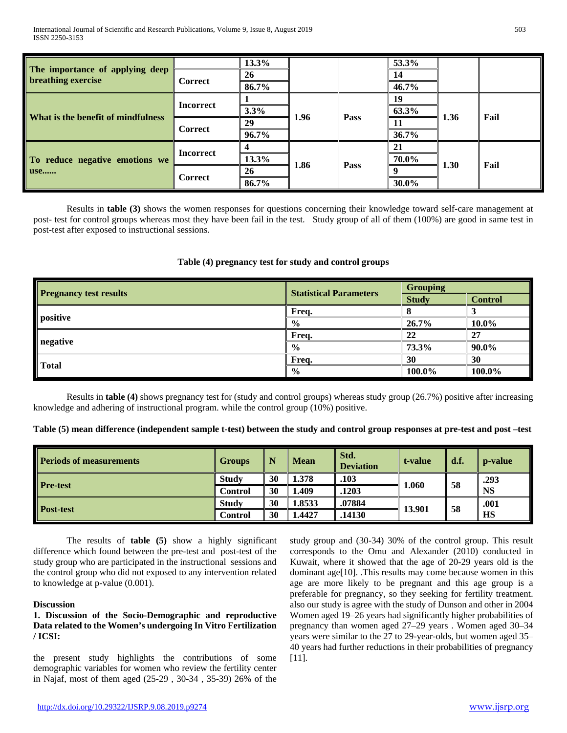|                                                       |                  | 13.3% |      |      | 53.3% |      |      |
|-------------------------------------------------------|------------------|-------|------|------|-------|------|------|
| The importance of applying deep<br>breathing exercise | <b>Correct</b>   | 26    |      |      | 14    |      |      |
|                                                       |                  | 86.7% |      |      | 46.7% |      |      |
|                                                       | <b>Incorrect</b> |       |      |      | 19    |      |      |
| What is the benefit of mindfulness                    |                  | 3.3%  | 1.96 | Pass | 63.3% | 1.36 | Fail |
|                                                       | <b>Correct</b>   | 29    |      |      |       |      |      |
|                                                       |                  | 96.7% |      |      | 36.7% |      |      |
|                                                       | <b>Incorrect</b> |       |      |      | 21    |      |      |
| To reduce negative emotions we                        |                  | 13.3% |      | Pass | 70.0% | 1.30 |      |
| <b>use</b>                                            | Correct          | 26    | 1.86 |      |       |      | Fail |
|                                                       |                  | 86.7% |      |      | 30.0% |      |      |

Results in **table (3)** shows the women responses for questions concerning their knowledge toward self-care management at post- test for control groups whereas most they have been fail in the test. Study group of all of them (100%) are good in same test in post-test after exposed to instructional sessions.

|                               |                               | <b>Grouping</b> |                |  |
|-------------------------------|-------------------------------|-----------------|----------------|--|
| <b>Pregnancy test results</b> | <b>Statistical Parameters</b> | <b>Study</b>    | <b>Control</b> |  |
|                               | Freq.                         |                 |                |  |
| positive                      | $\frac{0}{0}$                 | 26.7%           | 10.0%          |  |
|                               | Freq.                         | 22              | 27             |  |
| negative                      | $\frac{0}{0}$                 | 73.3%           | 90.0%          |  |
|                               | Freq.                         | 30              | 30             |  |
| <b>Total</b>                  | $\frac{6}{6}$                 | 100.0%          | 100.0%         |  |

# **Table (4) pregnancy test for study and control groups**

Results in **table (4)** shows pregnancy test for (study and control groups) whereas study group (26.7%) positive after increasing knowledge and adhering of instructional program. while the control group (10%) positive.

|  | Table (5) mean difference (independent sample t-test) between the study and control group responses at pre-test and post -test |  |  |  |
|--|--------------------------------------------------------------------------------------------------------------------------------|--|--|--|
|  |                                                                                                                                |  |  |  |

| <b>Periods of measurements</b> | Groups       |    | <b>Mean</b> | Std.<br><b>Deviation</b> | t-value | d.f. | p-value   |
|--------------------------------|--------------|----|-------------|--------------------------|---------|------|-----------|
| <b>Pre-test</b>                | Study        | 30 | 1.378       | .103                     | 1.060   | 58   | .293      |
|                                | Control      | 30 | 1.409       | .1203                    |         |      | <b>NS</b> |
| <b>Post-test</b>               | <b>Study</b> | 30 | 1.8533      | .07884                   |         |      | .001      |
|                                | Control      | 30 | 1.4427      | .14130                   | 13.901  | 58   | HS        |

The results of **table (5)** show a highly significant difference which found between the pre-test and post-test of the study group who are participated in the instructional sessions and the control group who did not exposed to any intervention related to knowledge at p-value (0.001).

## **Discussion**

# **1. Discussion of the Socio-Demographic and reproductive Data related to the Women's undergoing In Vitro Fertilization / ICSI:**

the present study highlights the contributions of some demographic variables for women who review the fertility center in Najaf, most of them aged (25-29 , 30-34 , 35-39) 26% of the study group and (30-34) 30% of the control group. This result corresponds to the Omu and Alexander (2010) conducted in Kuwait, where it showed that the age of 20-29 years old is the dominant age[10]. .This results may come because women in this age are more likely to be pregnant and this age group is a preferable for pregnancy, so they seeking for fertility treatment. also our study is agree with the study of Dunson and other in 2004 Women aged 19–26 years had significantly higher probabilities of pregnancy than women aged 27–29 years . Women aged 30–34 years were similar to the 27 to 29-year-olds, but women aged 35– 40 years had further reductions in their probabilities of pregnancy [11].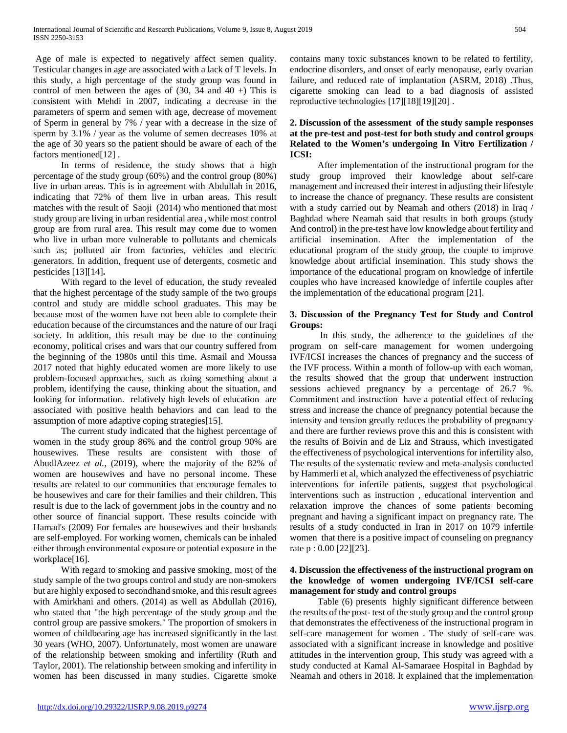Age of male is expected to negatively affect semen quality. Testicular changes in age are associated with a lack of T levels. In this study, a high percentage of the study group was found in control of men between the ages of  $(30, 34 \text{ and } 40 +)$  This is consistent with Mehdi in 2007, indicating a decrease in the parameters of sperm and semen with age, decrease of movement of Sperm in general by 7% / year with a decrease in the size of sperm by 3.1% / year as the volume of semen decreases 10% at the age of 30 years so the patient should be aware of each of the factors mentioned<sup>[12]</sup>.

 In terms of residence, the study shows that a high percentage of the study group (60%) and the control group (80%) live in urban areas. This is in agreement with Abdullah in 2016, indicating that 72% of them live in urban areas. This result matches with the result of Saoji (2014) who mentioned that most study group are living in urban residential area , while most control group are from rural area. This result may come due to women who live in urban more vulnerable to pollutants and chemicals such as; polluted air from factories, vehicles and electric generators. In addition, frequent use of detergents, cosmetic and pesticides [13][14]**.**

 With regard to the level of education, the study revealed that the highest percentage of the study sample of the two groups control and study are middle school graduates. This may be because most of the women have not been able to complete their education because of the circumstances and the nature of our Iraqi society. In addition, this result may be due to the continuing economy, political crises and wars that our country suffered from the beginning of the 1980s until this time. Asmail and Moussa 2017 noted that highly educated women are more likely to use problem-focused approaches, such as doing something about a problem, identifying the cause, thinking about the situation, and looking for information. relatively high levels of education are associated with positive health behaviors and can lead to the assumption of more adaptive coping strategies[15].

 The current study indicated that the highest percentage of women in the study group 86% and the control group 90% are housewives. These results are consistent with those of AbudlAzeez *et al.*, (2019), where the majority of the 82% of women are housewives and have no personal income. These results are related to our communities that encourage females to be housewives and care for their families and their children. This result is due to the lack of government jobs in the country and no other source of financial support. These results coincide with Hamad's (2009) For females are housewives and their husbands are self-employed. For working women, chemicals can be inhaled either through environmental exposure or potential exposure in the workplace[16].

 With regard to smoking and passive smoking, most of the study sample of the two groups control and study are non-smokers but are highly exposed to secondhand smoke, and this result agrees with Amirkhani and others. (2014) as well as Abdullah (2016), who stated that "the high percentage of the study group and the control group are passive smokers." The proportion of smokers in women of childbearing age has increased significantly in the last 30 years (WHO, 2007). Unfortunately, most women are unaware of the relationship between smoking and infertility (Ruth and Taylor, 2001). The relationship between smoking and infertility in women has been discussed in many studies. Cigarette smoke

contains many toxic substances known to be related to fertility, endocrine disorders, and onset of early menopause, early ovarian failure, and reduced rate of implantation (ASRM, 2018) .Thus, cigarette smoking can lead to a bad diagnosis of assisted reproductive technologies [17][18][19][20] .

# **2. Discussion of the assessment of the study sample responses at the pre-test and post-test for both study and control groups Related to the Women's undergoing In Vitro Fertilization / ICSI:**

 After implementation of the instructional program for the study group improved their knowledge about self-care management and increased their interest in adjusting their lifestyle to increase the chance of pregnancy. These results are consistent with a study carried out by Neamah and others (2018) in Iraq / Baghdad where Neamah said that results in both groups (study And control) in the pre-test have low knowledge about fertility and artificial insemination. After the implementation of the educational program of the study group, the couple to improve knowledge about artificial insemination. This study shows the importance of the educational program on knowledge of infertile couples who have increased knowledge of infertile couples after the implementation of the educational program [21].

## **3. Discussion of the Pregnancy Test for Study and Control Groups:**

 In this study, the adherence to the guidelines of the program on self-care management for women undergoing IVF/ICSI increases the chances of pregnancy and the success of the IVF process. Within a month of follow-up with each woman, the results showed that the group that underwent instruction sessions achieved pregnancy by a percentage of 26.7 %. Commitment and instruction have a potential effect of reducing stress and increase the chance of pregnancy potential because the intensity and tension greatly reduces the probability of pregnancy and there are further reviews prove this and this is consistent with the results of Boivin and de Liz and Strauss, which investigated the effectiveness of psychological interventions for infertility also, The results of the systematic review and meta-analysis conducted by Hammerli et al, which analyzed the effectiveness of psychiatric interventions for infertile patients, suggest that psychological interventions such as instruction , educational intervention and relaxation improve the chances of some patients becoming pregnant and having a significant impact on pregnancy rate. The results of a study conducted in Iran in 2017 on 1079 infertile women that there is a positive impact of counseling on pregnancy rate p : 0.00 [22][23].

# **4. Discussion the effectiveness of the instructional program on the knowledge of women undergoing IVF/ICSI self-care management for study and control groups**

 Table (6) presents highly significant difference between the results of the post- test of the study group and the control group that demonstrates the effectiveness of the instructional program in self-care management for women . The study of self-care was associated with a significant increase in knowledge and positive attitudes in the intervention group, This study was agreed with a study conducted at Kamal Al-Samaraee Hospital in Baghdad by Neamah and others in 2018. It explained that the implementation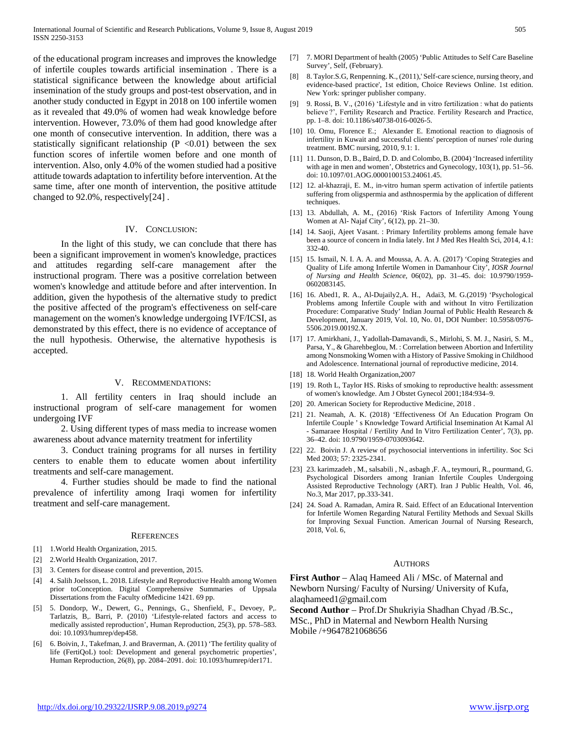of the educational program increases and improves the knowledge of infertile couples towards artificial insemination . There is a statistical significance between the knowledge about artificial insemination of the study groups and post-test observation, and in another study conducted in Egypt in 2018 on 100 infertile women as it revealed that 49.0% of women had weak knowledge before intervention. However, 73.0% of them had good knowledge after one month of consecutive intervention. In addition, there was a statistically significant relationship ( $P \le 0.01$ ) between the sex function scores of infertile women before and one month of intervention. Also, only 4.0% of the women studied had a positive attitude towards adaptation to infertility before intervention. At the same time, after one month of intervention, the positive attitude changed to 92.0%, respectively[24] .

### IV. CONCLUSION:

 In the light of this study, we can conclude that there has been a significant improvement in women's knowledge, practices and attitudes regarding self-care management after the instructional program. There was a positive correlation between women's knowledge and attitude before and after intervention. In addition, given the hypothesis of the alternative study to predict the positive affected of the program's effectiveness on self-care management on the women's knowledge undergoing IVF/ICSI, as demonstrated by this effect, there is no evidence of acceptance of the null hypothesis. Otherwise, the alternative hypothesis is accepted.

## V. RECOMMENDATIONS:

 1. All fertility centers in Iraq should include an instructional program of self-care management for women undergoing IVF

 2. Using different types of mass media to increase women awareness about advance maternity treatment for infertility

 3. Conduct training programs for all nurses in fertility centers to enable them to educate women about infertility treatments and self-care management.

 4. Further studies should be made to find the national prevalence of infertility among Iraqi women for infertility treatment and self-care management.

#### **REFERENCES**

- [1] 1.World Health Organization, 2015.
- [2] 2.World Health Organization, 2017.
- [3] 3. Centers for disease control and prevention, 2015.
- [4] 4. Salih Joelsson, L. 2018. Lifestyle and Reproductive Health among Women prior toConception. Digital Comprehensive Summaries of Uppsala Dissertations from the Faculty ofMedicine 1421. 69 pp.
- [5] 5. Dondorp, W., Dewert, G., Pennings, G., Shenfield, F., Devoey, P,. Tarlatzis, B,. Barri, P. (2010) 'Lifestyle-related factors and access to medically assisted reproduction', Human Reproduction, 25(3), pp. 578–583. doi: 10.1093/humrep/dep458.
- [6] 6. Boivin, J., Takefman, J. and Braverman, A. (2011) 'The fertility quality of life (FertiQoL) tool: Development and general psychometric properties', Human Reproduction, 26(8), pp. 2084–2091. doi: 10.1093/humrep/der171.
- [7] 7. MORI Department of health (2005) 'Public Attitudes to Self Care Baseline Survey', Self, (February).
- [8] 8. Taylor.S.G, Renpenning. K., (2011),' Self-care science, nursing theory, and evidence-based practice', 1st edition, Choice Reviews Online. 1st edition. New York: springer publisher company.
- [9] 9. Rossi, B. V., (2016) 'Lifestyle and in vitro fertilization : what do patients believe ?', Fertility Research and Practice. Fertility Research and Practice, pp. 1–8. doi: 10.1186/s40738-016-0026-5.
- [10] 10. Omu, Florence E.; Alexander E. Emotional reaction to diagnosis of infertility in Kuwait and successful clients' perception of nurses' role during treatment. BMC nursing, 2010, 9.1: 1.
- [11] 11. Dunson, D. B., Baird, D. D. and Colombo, B. (2004) 'Increased infertility with age in men and women', Obstetrics and Gynecology, 103(1), pp. 51–56. doi: 10.1097/01.AOG.0000100153.24061.45.
- [12] 12. al-khazraji, E. M., in-vitro human sperm activation of infertile patients suffering from oligspermia and asthnospermia by the application of different techniques.
- [13] 13. Abdullah, A. M., (2016) 'Risk Factors of Infertility Among Young Women at Al- Najaf City', 6(12), pp. 21–30.
- [14] 14. Saoji, Ajeet Vasant. : Primary Infertility problems among female have been a source of concern in India lately. Int J Med Res Health Sci, 2014, 4.1: 332-40.
- [15] 15. Ismail, N. I. A. A. and Moussa, A. A. A. (2017) 'Coping Strategies and Quality of Life among Infertile Women in Damanhour City', *IOSR Journal of Nursing and Health Science*, 06(02), pp. 31–45. doi: 10.9790/1959- 0602083145.
- [16] 16. Abed1, R. A., Al-Dujaily2,A. H., Adai3, M. G.(2019) 'Psychological Problems among Infertile Couple with and without In vitro Fertilization Procedure: Comparative Study' Indian Journal of Public Health Research & Development, January 2019, Vol. 10, No. 01, DOI Number: 10.5958/0976- 5506.2019.00192.X.
- [17] 17. Amirkhani, J., Yadollah-Damavandi, S., Mirlohi, S. M. J., Nasiri, S. M., Parsa, Y., & Gharehbeglou, M. : Correlation between Abortion and Infertility among Nonsmoking Women with a History of Passive Smoking in Childhood and Adolescence. International journal of reproductive medicine, 2014.
- [18] 18. World Health Organization, 2007
- [19] 19. Roth L, Taylor HS. Risks of smoking to reproductive health: assessment of women's knowledge. Am J Obstet Gynecol 2001;184:934–9.
- [20] 20. American Society for Reproductive Medicine, 2018 .
- [21] 21. Neamah, A. K. (2018) 'Effectiveness Of An Education Program On Infertile Couple ' s Knowledge Toward Artificial Insemination At Kamal Al - Samaraee Hospital / Fertility And In Vitro Fertilization Center', 7(3), pp. 36–42. doi: 10.9790/1959-0703093642.
- [22] 22. Boivin J. A review of psychosocial interventions in infertility. Soc Sci Med 2003; 57: 2325-2341.
- [23] 23. karimzadeh , M., salsabili , N., asbagh ,F. A., teymouri, R., pourmand, G. Psychological Disorders among Iranian Infertile Couples Undergoing Assisted Reproductive Technology (ART). Iran J Public Health, Vol. 46, No.3, Mar 2017, pp.333-341.
- [24] 24. Soad A. Ramadan, Amira R. Said. Effect of an Educational Intervention for Infertile Women Regarding Natural Fertility Methods and Sexual Skills for Improving Sexual Function. American Journal of Nursing Research, 2018, Vol. 6,

#### **AUTHORS**

**First Author** – Alaq Hameed Ali / MSc. of Maternal and Newborn Nursing/ Faculty of Nursing/ University of Kufa, alaqhameed1@gmail.com

**Second Author** – Prof.Dr Shukriyia Shadhan Chyad /B.Sc., MSc., PhD in Maternal and Newborn Health Nursing Mobile /+9647821068656